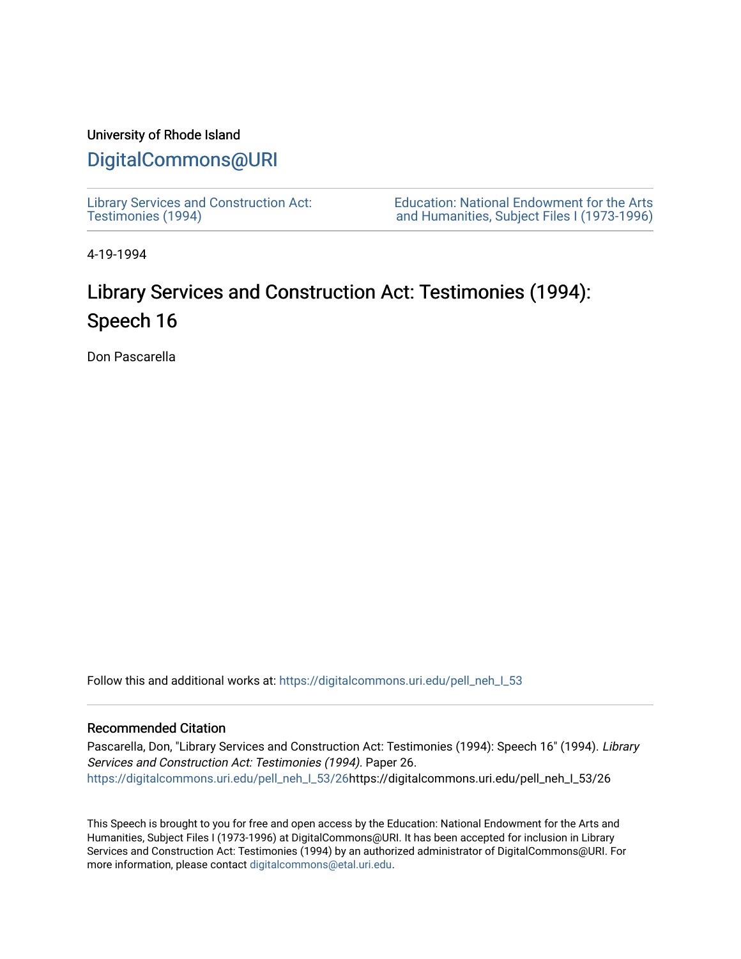## University of Rhode Island

## [DigitalCommons@URI](https://digitalcommons.uri.edu/)

[Library Services and Construction Act:](https://digitalcommons.uri.edu/pell_neh_I_53)  [Testimonies \(1994\)](https://digitalcommons.uri.edu/pell_neh_I_53) 

[Education: National Endowment for the Arts](https://digitalcommons.uri.edu/pell_neh_I)  [and Humanities, Subject Files I \(1973-1996\)](https://digitalcommons.uri.edu/pell_neh_I) 

4-19-1994

## Library Services and Construction Act: Testimonies (1994): Speech 16

Don Pascarella

Follow this and additional works at: https://digitalcommons.uri.edu/pell\_neh\_I\_53

## Recommended Citation

Pascarella, Don, "Library Services and Construction Act: Testimonies (1994): Speech 16" (1994). Library Services and Construction Act: Testimonies (1994). Paper 26. [https://digitalcommons.uri.edu/pell\\_neh\\_I\\_53/26h](https://digitalcommons.uri.edu/pell_neh_I_53/26?utm_source=digitalcommons.uri.edu%2Fpell_neh_I_53%2F26&utm_medium=PDF&utm_campaign=PDFCoverPages)ttps://digitalcommons.uri.edu/pell\_neh\_I\_53/26

This Speech is brought to you for free and open access by the Education: National Endowment for the Arts and Humanities, Subject Files I (1973-1996) at DigitalCommons@URI. It has been accepted for inclusion in Library Services and Construction Act: Testimonies (1994) by an authorized administrator of DigitalCommons@URI. For more information, please contact [digitalcommons@etal.uri.edu.](mailto:digitalcommons@etal.uri.edu)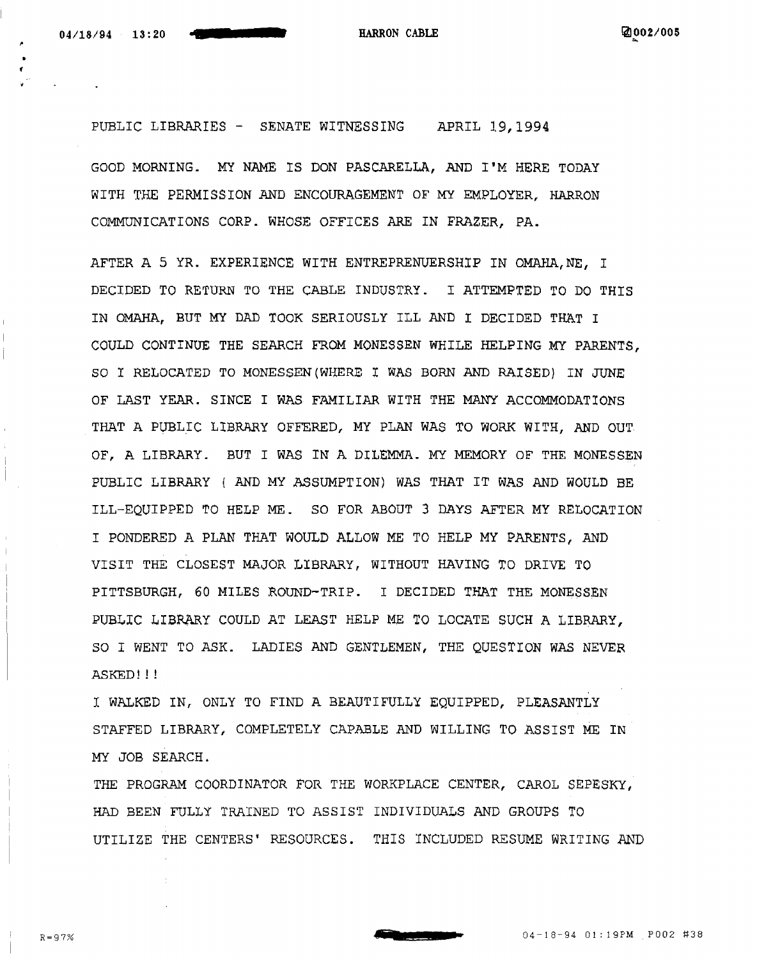f

PUBLIC LIBRARIES - SENATE WITNESSING APRIL 19,1994

GOOD MORNING. MY NAME IS DON PASCARELLA, AND I'M HERE TODAY WITH THE PERMISSION AND ENCOURAGEMENT OF MY EMPLOYER, HARRON COMMUNICATIONS CORP. WHOSE OFFICES ARE IN FRAZER, PA.

AFTER A 5 YR. EXPERIENCE WITH ENTREPRENUERSHIP IN OMAHA, NE, I DECIDED TO RETURN TO THE CABLE INDUSTRY. I ATTEMPTED TO DO THIS IN OMAHA, BUT MY DAD TOOK SERIOUSLY ILL AND I DECIDED THAT I COULD CONTINOE THE SEARCH FROM MONESSEN WHILE HELPING MY PARENTS, SO I RELOCATED TO MONESSEN(WHERE I WAS BORN AND RAISED) IN JUNE OF LAST YEAR. SINCE I WAS FAMILIAR WITH THE MANY ACCOMMODATIONS THAT A PUBLIC LIBRARY OFFERED, MY PLAN WAS TO WORK WITH, AND OUT OF, A LIBRARY. BUT I WAS IN A DILEMMA. MY MEMORY OF THE MONESSEN PUBLIC LIBRARY ( AND MY ASSUMPTION) WAS THAT IT WAS AND WOULD BE ILL-EQUIPPED TO HELP ME. SO FOR ABOUT 3 DAYS AFTER MY RELOCATION I PONDERED A PLAN THAT WOULD ALLOW ME TO HELP MY PARENTS, AND VISIT THE CLOSEST MAJOR LIBRARY, WITHOUT HAVING TO DRIVE TO PITTSBURGH, 60 MILES ROUND-TRIP. I DECIDED THAT THE MONE\$SEN PUBLIC LIBRARY COULD AT LEAST HELP ME TO LOCATE SUCH A LIBRARY, SO I WENT TO ASK. LADIES AND GENTLEMEN, THE QUESTION WAS NEVER ASKED!!!

I WALKED IN, ONLY TO FIND A BEAUTIFULLY EQUIPPED, PLEASANTLY STAFFED LIBRARY, COMPLETELY CAPABLE AND WILLING TO ASSIST ME IN MY JOB SEARCH.

THE PROGRAM COORDINATOR FOR THE WORKPLACE CENTER, CAROL SEPESKY, HAD BEEN FULLY TRAINED TO ASSIST INDIVIDUALS AND GROUPS TO UTILIZE THE CENTERS• RESOURCES. THIS INCLUDED RESUME WRITING AND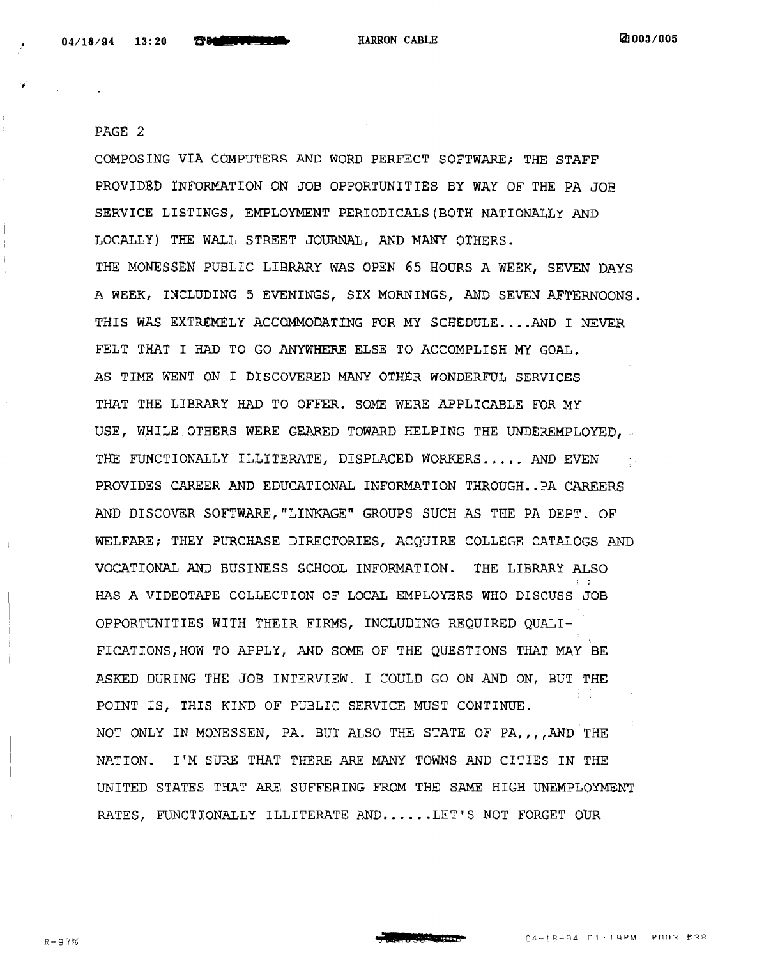PAGE 2

COMPOSING VIA COMPUTERS AND WORD PERFECT SOFTWARE; THE STAFF PROVIDED INFORMATION ON JOB OPPORTUNITIES BY WAY OF THE PA JOB SERVICE LISTINGS, EMPLOYMENT PERIODICALS(BOTH NATIONALLY AND LOCALLY) THE WALL STREET JOURNAL, AND MANY OTHERS. THE MONESSEN PUBLIC LIBRARY WAS OPEN 65 HOURS A WEER, SEVEN DAYS A WEEK, INCLUDING 5 EVENINGS, SIX MORNINGS, AND SEVEN AFTERNOONS. THIS WAS EXTREMELY ACCOMMODATING FOR MY SCHEDULE....AND I NEVER FELT THAT I HAD TO GO ANYWHERE ELSE TO ACCOMPLISH MY GOAL. AS TIME WENT ON I DISCOVERED MANY OTHER WONDERFUL SERVICES THAT THE LIBRARY HAD TO OFFER. SOME WERE APPLICABLE FOR MY USE, WHILE OTHERS WERE GEARED TOWARD HELPING THE UNDEREMPLOYED, ... THE FUNCTIONALLY ILLITERATE, DISPLACED WORKERS..... AND EVEN PROVIDES CAREER AND EDUCATIONAL INFORMATION THROUGH .. PA CAREERS AND DISCOVER SOFTWARE,"LINKAGE" GROUPS SUCH AS THE PA DEPT. OF WELFARE; THEY PURCHASE DIRECTORIES, ACQUIRE COLLEGE CATALOGS AND VOCATIONAL AND BUSINESS SCHOOL INFORMATION. THE LIBRARY ALSO HAS A VIDEOTAPE COLLECTION OF LOCAL EMPLOYERS WHO DISCUSS JOB OPPORTUNITIES WITH THEIR FIRMS, INCLUDING REQUIRED QUALI-FICATIONS,HOW TO APPLY, AND SOME OF THE QUESTIONS THAT MAY BE ASKED DURING THE JOB INTERVIEW. I COULD GO ON AND ON, BUT THE POINT IS, THIS KIND OF PUBLIC SERVICE MUST CONTINUE. NOT ONLY IN MONESSEN, PA. BUT ALSO THE STATE OF PA,,,,AND THE NATION. I'M SURE THAT THERE ARE MANY TOWNS AND CITIES IN THE UNITED STATES THAT ARE SUFFERING FROM THE SAME HIGH UNEMPLOYMENT RATES, FUNCTIONALLY ILLITERATE AND......LET'S NOT FORGET OUR

**s dt.L** Sb s e-

04-18-94 01:19PM POOR #38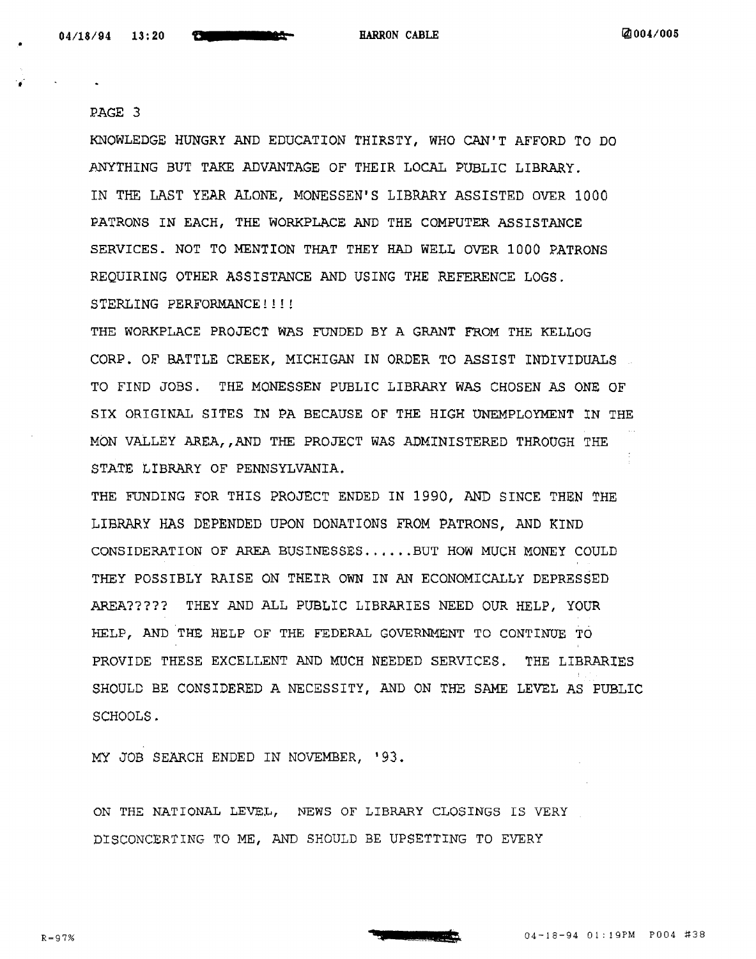•

..

PAGE 3

KNOWLEDGE HUNGRY AND EDUCATION THIRSTY, WHO CAN'T AFFORD TO DO .ANYTHING BUT TAKE ADVANTAGE OF THEIR LOCAL PUBLIC LIBRARY. IN THE LAST YEAR ALONE, MONESSEN'S LIBRARY ASSISTED OVER 1000 PATRONS IN EACH, THE WORKPLACE AND THE COMPUTER ASSISTANCE SERVICES. NOT TO MENTION THAT THEY HAD WELL OVER 1000 PATRONS REQUIRING OTHER ASSISTANCE AND USING THE REFERENCE LOGS. STERLING PERFORMANCE!!!!!

THE WORKPLACE PROJECT WAS FUNDED BY A GRANT FROM THE KELLOG CORP. OF BATTLE CREEK, MICHIGAN IN ORDER TO ASSIST INDlVIDUALS TO FIND JOBS. THE MONESSEN PUBLIC LIBRARY WAS CHOSEN AS ONE OF SIX ORIGINAL SITES IN PA BECAUSE OF THE HIGH UNEMPLOYMENT lN THE MON VALLEY AREA,, AND THE PROJECT WAS ADMINISTERED THROUGH THE STATE LIBRARY OF PENNSYLVANIA.

THE FUNDING FOR THIS PROJECT ENDED IN 1990, AND SINCE THEN THE LIBRARY HAS DEPENDED UPON DONATIONS FROM PATRONS, AND KlND CONSIDERATION OF AREA BUSINESSES ...... BUT HOW MUCH MONEY COULD THEY POSSIBLY RAISE ON THEIR OWN IN AN ECONOMICALLY DEPRESSED AREA????? THEY AND ALL PUBLIC LlBRARIES NEED OUR HELP, YOUR HELP, AND THE HELP OF THE FEDERAL GOVERNMENT TO CONTINUE TO PROVIDE THESE EXCELLENT AND MUCH NEBDED SERVICES. THE LIBRARIES SHOULD BE CONSIDERED A NECESSITY, AND ON THE SAME LEVEL AS PUBLIC SCHOOLS.

MY JOB SEARCH ENDED IN NOVEMBER, '93.

ON THE NATIONAL LEVEL, NEWS OF LIBRARY CLOSINGS IS VERY DISCONCERTING TO ME, AND SHOULD BE UPSETTING TO EVERY

 $R = 97%$